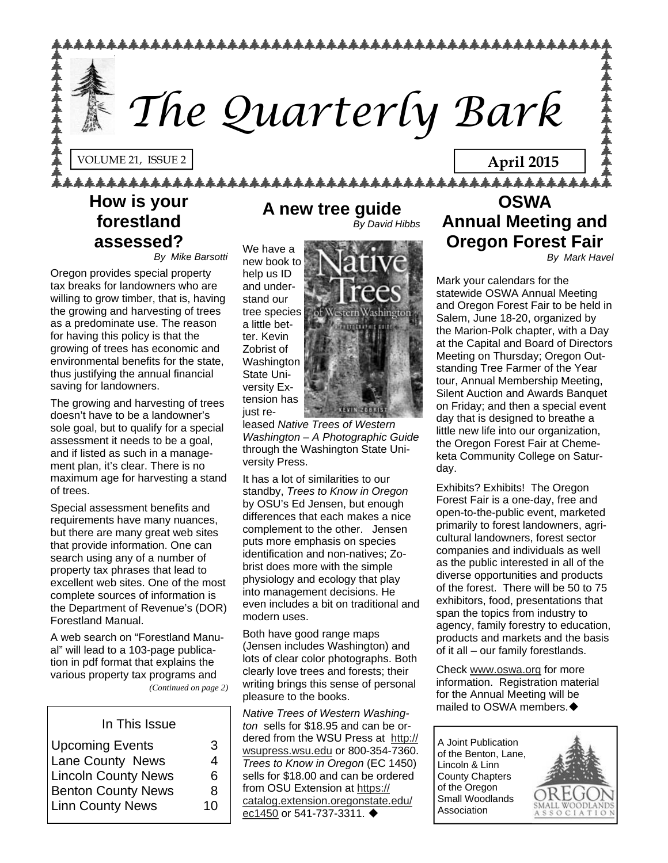

### **How is your forestland assessed?**

*By Mike Barsotti* 

Oregon provides special property tax breaks for landowners who are willing to grow timber, that is, having the growing and harvesting of trees as a predominate use. The reason for having this policy is that the growing of trees has economic and environmental benefits for the state, thus justifying the annual financial saving for landowners.

The growing and harvesting of trees doesn't have to be a landowner's sole goal, but to qualify for a special assessment it needs to be a goal, and if listed as such in a management plan, it's clear. There is no maximum age for harvesting a stand of trees.

Special assessment benefits and requirements have many nuances, but there are many great web sites that provide information. One can search using any of a number of property tax phrases that lead to excellent web sites. One of the most complete sources of information is the Department of Revenue's (DOR) Forestland Manual.

A web search on "Forestland Manual" will lead to a 103-page publication in pdf format that explains the various property tax programs and *(Continued on page 2)* 

#### In This Issue

| <b>Upcoming Events</b>     | З  |
|----------------------------|----|
| Lane County News           | 4  |
| <b>Lincoln County News</b> | 6  |
| <b>Benton County News</b>  | 8  |
| <b>Linn County News</b>    | 10 |

#### **A new tree guide**  *By David Hibbs*

We have a new book to help us ID and understand our tree species a little better. Kevin Zobrist of Washington State University Extension has just re-



leased *Native Trees of Western Washington – A Photographic Guide*  through the Washington State University Press.

It has a lot of similarities to our standby, *Trees to Know in Oregon* by OSU's Ed Jensen, but enough differences that each makes a nice complement to the other. Jensen puts more emphasis on species identification and non-natives; Zobrist does more with the simple physiology and ecology that play into management decisions. He even includes a bit on traditional and modern uses.

Both have good range maps (Jensen includes Washington) and lots of clear color photographs. Both clearly love trees and forests; their writing brings this sense of personal pleasure to the books.

*Native Trees of Western Washington* sells for \$18.95 and can be ordered from the WSU Press at [http://](http://wsupress.wsu.edu) [wsupress.wsu.edu](http://wsupress.wsu.edu) or 800-354-7360. *Trees to Know in Oregon* (EC 1450) sells for \$18.00 and can be ordered from OSU Extension at [https://](https://catalog.extension.oregonstate.edu/ec1450) [catalog.extension.oregonstate.edu/](https://catalog.extension.oregonstate.edu/ec1450) [ec1450](https://catalog.extension.oregonstate.edu/ec1450) or 541-737-3311.

### **OSWA Annual Meeting and Oregon Forest Fair**

*By Mark Havel* 

Mark your calendars for the statewide OSWA Annual Meeting and Oregon Forest Fair to be held in Salem, June 18-20, organized by the Marion-Polk chapter, with a Day at the Capital and Board of Directors Meeting on Thursday; Oregon Outstanding Tree Farmer of the Year tour, Annual Membership Meeting, Silent Auction and Awards Banquet on Friday; and then a special event day that is designed to breathe a little new life into our organization, the Oregon Forest Fair at Chemeketa Community College on Saturday.

Exhibits? Exhibits! The Oregon Forest Fair is a one-day, free and open-to-the-public event, marketed primarily to forest landowners, agricultural landowners, forest sector companies and individuals as well as the public interested in all of the diverse opportunities and products of the forest. There will be 50 to 75 exhibitors, food, presentations that span the topics from industry to agency, family forestry to education, products and markets and the basis of it all – our family forestlands.

Check [www.oswa.org](http://www.oswa.org) for more information. Registration material for the Annual Meeting will be mailed to OSWA members.

A Joint Publication of the Benton, Lane, Lincoln & Linn County Chapters of the Oregon Small Woodlands Association

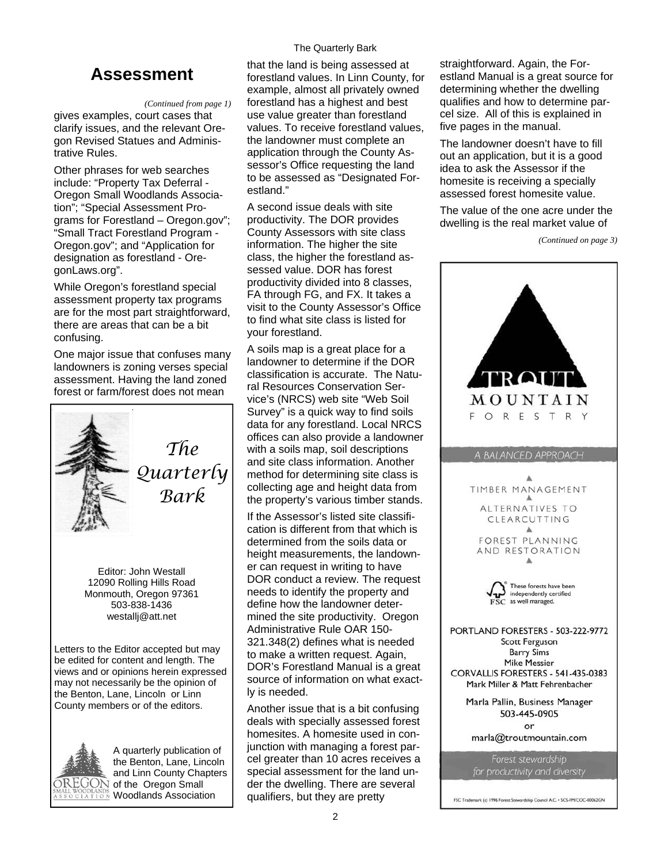#### *(Continued from page 1)*

gives examples, court cases that clarify issues, and the relevant Oregon Revised Statues and Administrative Rules.

Other phrases for web searches include: "Property Tax Deferral - Oregon Small Woodlands Association"; "Special Assessment Programs for Forestland – Oregon.gov"; "Small Tract Forestland Program - Oregon.gov"; and "Application for designation as forestland - OregonLaws.org".

While Oregon's forestland special assessment property tax programs are for the most part straightforward, there are areas that can be a bit confusing.

One major issue that confuses many landowners is zoning verses special assessment. Having the land zoned forest or farm/forest does not mean



*The Quarterly Bark* 

Editor: John Westall 12090 Rolling Hills Road Monmouth, Oregon 97361 503-838-1436 westallj@att.net

Letters to the Editor accepted but may be edited for content and length. The views and or opinions herein expressed may not necessarily be the opinion of the Benton, Lane, Lincoln or Linn County members or of the editors.



A quarterly publication of the Benton, Lane, Lincoln and Linn County Chapters  $OREGON$  of the Oregon Small **Woodlands Association** 

#### The Quarterly Bark

that the land is being assessed at that the land is being assessed at straightforward. Again, the For-<br>forestland values. In Linn County, for estland Manual is a great sourc example, almost all privately owned forestland has a highest and best use value greater than forestland values. To receive forestland values, the landowner must complete an application through the County Assessor's Office requesting the land to be assessed as "Designated Forestland."

> A second issue deals with site productivity. The DOR provides County Assessors with site class information. The higher the site class, the higher the forestland assessed value. DOR has forest productivity divided into 8 classes, FA through FG, and FX. It takes a visit to the County Assessor's Office to find what site class is listed for your forestland.

A soils map is a great place for a landowner to determine if the DOR classification is accurate. The Natural Resources Conservation Service's (NRCS) web site "Web Soil Survey" is a quick way to find soils data for any forestland. Local NRCS offices can also provide a landowner with a soils map, soil descriptions and site class information. Another method for determining site class is collecting age and height data from the property's various timber stands.

If the Assessor's listed site classification is different from that which is determined from the soils data or height measurements, the landowner can request in writing to have DOR conduct a review. The request needs to identify the property and define how the landowner determined the site productivity. Oregon Administrative Rule OAR 150- 321.348(2) defines what is needed to make a written request. Again, DOR's Forestland Manual is a great source of information on what exactly is needed.

Another issue that is a bit confusing deals with specially assessed forest homesites. A homesite used in conjunction with managing a forest parcel greater than 10 acres receives a special assessment for the land under the dwelling. There are several qualifiers, but they are pretty

estland Manual is a great source for determining whether the dwelling qualifies and how to determine parcel size. All of this is explained in five pages in the manual.

The landowner doesn't have to fill out an application, but it is a good idea to ask the Assessor if the homesite is receiving a specially assessed forest homesite value.

The value of the one acre under the dwelling is the real market value of

*(Continued on page 3)* 

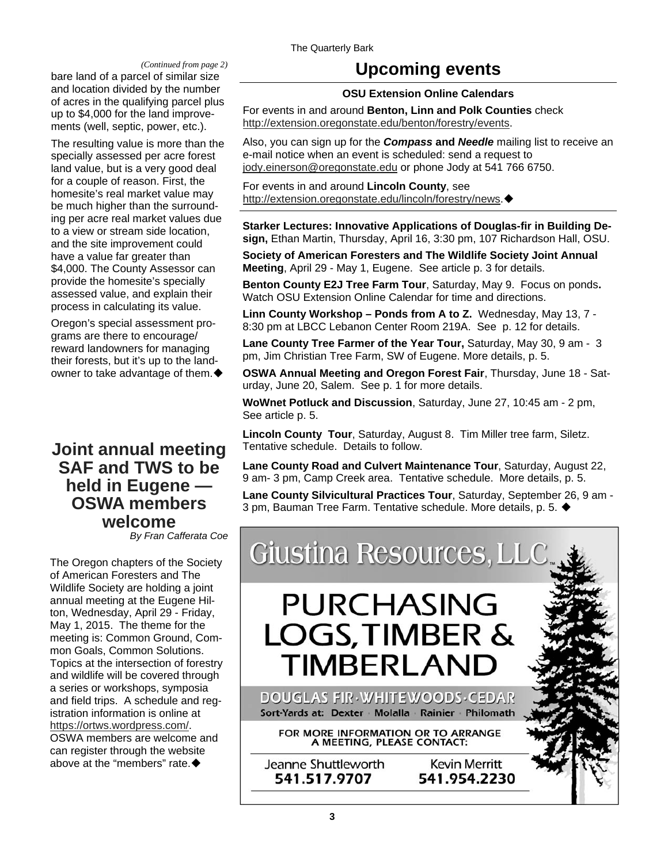*(Continued from page 2)* 

bare land of a parcel of similar size and location divided by the number of acres in the qualifying parcel plus up to \$4,000 for the land improvements (well, septic, power, etc.).

The resulting value is more than the specially assessed per acre forest land value, but is a very good deal for a couple of reason. First, the homesite's real market value may be much higher than the surrounding per acre real market values due to a view or stream side location, and the site improvement could have a value far greater than \$4,000. The County Assessor can provide the homesite's specially assessed value, and explain their process in calculating its value.

Oregon's special assessment programs are there to encourage/ reward landowners for managing their forests, but it's up to the landowner to take advantage of them.

**Joint annual meeting SAF and TWS to be held in Eugene — OSWA members welcome** 

*By Fran Cafferata Coe* 

The Oregon chapters of the Society of American Foresters and The Wildlife Society are holding a joint annual meeting at the Eugene Hilton, Wednesday, April 29 - Friday, May 1, 2015. The theme for the meeting is: Common Ground, Common Goals, Common Solutions. Topics at the intersection of forestry and wildlife will be covered through a series or workshops, symposia and field trips. A schedule and registration information is online at <https://ortws.wordpress.com/>. OSWA members are welcome and can register through the website above at the "members" rate.

### **Upcoming events**

#### **OSU Extension Online Calendars**

For events in and around **Benton, Linn and Polk Counties** check <http://extension.oregonstate.edu/benton/forestry/events>.

Also, you can sign up for the *Compass* **and** *Needle* mailing list to receive an e-mail notice when an event is scheduled: send a request to [jody.einerson@oregonstate.edu](mailto:jody.einerson@oregonstate.edu) or phone Jody at 541 766 6750.

For events in and around **Lincoln County**, see <http://extension.oregonstate.edu/lincoln/forestry/news>.

**Starker Lectures: Innovative Applications of Douglas-fir in Building Design,** Ethan Martin, Thursday, April 16, 3:30 pm, 107 Richardson Hall, OSU.

**Society of American Foresters and The Wildlife Society Joint Annual Meeting**, April 29 - May 1, Eugene. See article p. 3 for details.

**Benton County E2J Tree Farm Tour**, Saturday, May 9. Focus on ponds**.**  Watch OSU Extension Online Calendar for time and directions.

**Linn County Workshop – Ponds from A to Z.** Wednesday, May 13, 7 - 8:30 pm at LBCC Lebanon Center Room 219A. See p. 12 for details.

**Lane County Tree Farmer of the Year Tour,** Saturday, May 30, 9 am - 3 pm, Jim Christian Tree Farm, SW of Eugene. More details, p. 5.

**OSWA Annual Meeting and Oregon Forest Fair**, Thursday, June 18 - Saturday, June 20, Salem. See p. 1 for more details.

**WoWnet Potluck and Discussion**, Saturday, June 27, 10:45 am - 2 pm, See article p. 5.

**Lincoln County Tour**, Saturday, August 8. Tim Miller tree farm, Siletz. Tentative schedule. Details to follow.

**Lane County Road and Culvert Maintenance Tour**, Saturday, August 22, 9 am- 3 pm, Camp Creek area. Tentative schedule. More details, p. 5.

**Lane County Silvicultural Practices Tour**, Saturday, September 26, 9 am - 3 pm, Bauman Tree Farm. Tentative schedule. More details, p. 5.

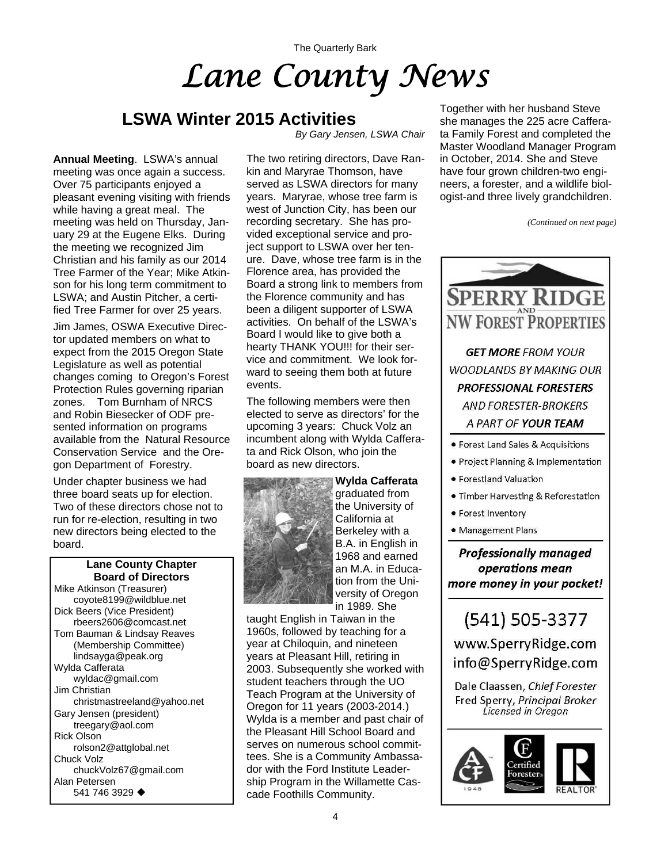### **LSWA Winter 2015 Activities**

**Annual Meeting**. LSWA's annual meeting was once again a success. Over 75 participants enjoyed a pleasant evening visiting with friends while having a great meal. The meeting was held on Thursday, January 29 at the Eugene Elks. During the meeting we recognized Jim Christian and his family as our 2014 Tree Farmer of the Year; Mike Atkinson for his long term commitment to LSWA; and Austin Pitcher, a certified Tree Farmer for over 25 years.

Jim James, OSWA Executive Director updated members on what to expect from the 2015 Oregon State Legislature as well as potential changes coming to Oregon's Forest Protection Rules governing riparian zones. Tom Burnham of NRCS and Robin Biesecker of ODF presented information on programs available from the Natural Resource Conservation Service and the Oregon Department of Forestry.

Under chapter business we had three board seats up for election. Two of these directors chose not to run for re-election, resulting in two new directors being elected to the board.

**Lane County Chapter Board of Directors**  Mike Atkinson (Treasurer) coyote8199@wildblue.net Dick Beers (Vice President) rbeers2606@comcast.net Tom Bauman & Lindsay Reaves (Membership Committee) lindsayga@peak.org Wylda Cafferata wyldac@gmail.com Jim Christian christmastreeland@yahoo.net Gary Jensen (president) treegary@aol.com Rick Olson rolson2@attglobal.net Chuck Volz chuckVolz67@gmail.com Alan Petersen 541 746 3929

*By Gary Jensen, LSWA Chair* 

The two retiring directors, Dave Rankin and Maryrae Thomson, have served as LSWA directors for many years. Maryrae, whose tree farm is west of Junction City, has been our recording secretary. She has provided exceptional service and project support to LSWA over her tenure. Dave, whose tree farm is in the Florence area, has provided the Board a strong link to members from the Florence community and has been a diligent supporter of LSWA activities. On behalf of the LSWA's Board I would like to give both a hearty THANK YOU!!! for their service and commitment. We look forward to seeing them both at future events.

The following members were then elected to serve as directors' for the upcoming 3 years: Chuck Volz an incumbent along with Wylda Cafferata and Rick Olson, who join the board as new directors.



**Wylda Cafferata**  graduated from the University of California at Berkeley with a B.A. in English in 1968 and earned an M.A. in Education from the University of Oregon in 1989. She

taught English in Taiwan in the 1960s, followed by teaching for a year at Chiloquin, and nineteen years at Pleasant Hill, retiring in 2003. Subsequently she worked with student teachers through the UO Teach Program at the University of Oregon for 11 years (2003-2014.) Wylda is a member and past chair of the Pleasant Hill School Board and serves on numerous school committees. She is a Community Ambassador with the Ford Institute Leadership Program in the Willamette Cascade Foothills Community.

Together with her husband Steve she manages the 225 acre Cafferata Family Forest and completed the Master Woodland Manager Program in October, 2014. She and Steve have four grown children-two engineers, a forester, and a wildlife biologist-and three lively grandchildren.

*(Continued on next page)* 



**Professionally managed** operations mean more money in your pocket!

(541) 505-3377 www.SperryRidge.com info@SperryRidge.com

Dale Claassen, Chief Forester Fred Sperry, Principal Broker Licensed in Oregon

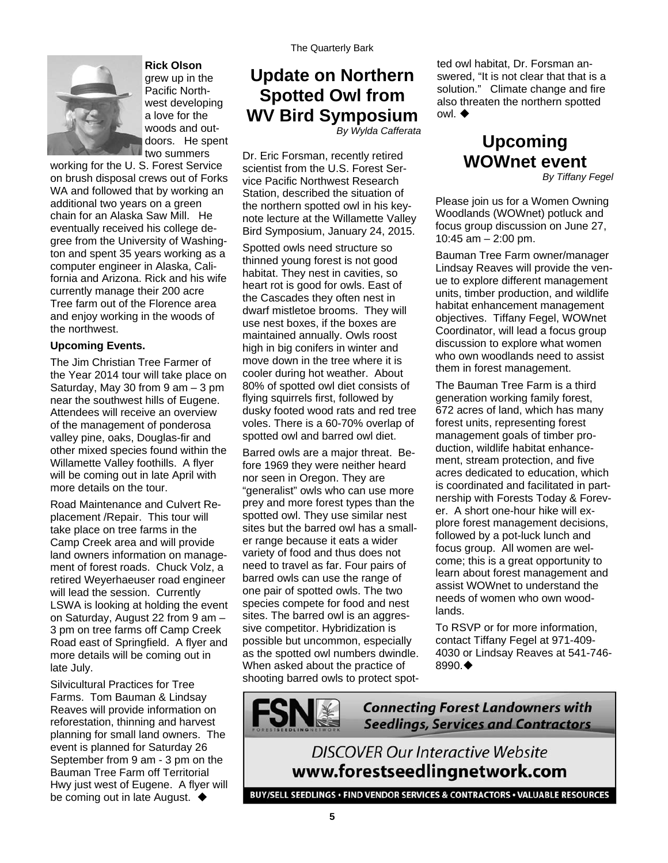

**Rick Olson**  grew up in the Pacific Northwest developing a love for the woods and outdoors. He spent two summers

working for the U. S. Forest Service on brush disposal crews out of Forks WA and followed that by working an additional two years on a green chain for an Alaska Saw Mill. He eventually received his college degree from the University of Washington and spent 35 years working as a computer engineer in Alaska, California and Arizona. Rick and his wife currently manage their 200 acre Tree farm out of the Florence area and enjoy working in the woods of the northwest.

#### **Upcoming Events.**

The Jim Christian Tree Farmer of the Year 2014 tour will take place on Saturday, May 30 from 9 am  $-$  3 pm near the southwest hills of Eugene. Attendees will receive an overview of the management of ponderosa valley pine, oaks, Douglas-fir and other mixed species found within the Willamette Valley foothills. A flyer will be coming out in late April with more details on the tour.

Road Maintenance and Culvert Replacement /Repair. This tour will take place on tree farms in the Camp Creek area and will provide land owners information on management of forest roads. Chuck Volz, a retired Weyerhaeuser road engineer will lead the session. Currently LSWA is looking at holding the event on Saturday, August 22 from 9 am – 3 pm on tree farms off Camp Creek Road east of Springfield. A flyer and more details will be coming out in late July.

Silvicultural Practices for Tree Farms. Tom Bauman & Lindsay Reaves will provide information on reforestation, thinning and harvest planning for small land owners. The event is planned for Saturday 26 September from 9 am - 3 pm on the Bauman Tree Farm off Territorial Hwy just west of Eugene. A flyer will be coming out in late August.  $\blacklozenge$ 

### **Update on Northern Spotted Owl from WV Bird Symposium**

*By Wylda Cafferata* 

Dr. Eric Forsman, recently retired scientist from the U.S. Forest Service Pacific Northwest Research Station, described the situation of the northern spotted owl in his keynote lecture at the Willamette Valley Bird Symposium, January 24, 2015.

Spotted owls need structure so thinned young forest is not good habitat. They nest in cavities, so heart rot is good for owls. East of the Cascades they often nest in dwarf mistletoe brooms. They will use nest boxes, if the boxes are maintained annually. Owls roost high in big conifers in winter and move down in the tree where it is cooler during hot weather. About 80% of spotted owl diet consists of flying squirrels first, followed by dusky footed wood rats and red tree voles. There is a 60-70% overlap of spotted owl and barred owl diet.

Barred owls are a major threat. Before 1969 they were neither heard nor seen in Oregon. They are "generalist" owls who can use more prey and more forest types than the spotted owl. They use similar nest sites but the barred owl has a smaller range because it eats a wider variety of food and thus does not need to travel as far. Four pairs of barred owls can use the range of one pair of spotted owls. The two species compete for food and nest sites. The barred owl is an aggressive competitor. Hybridization is possible but uncommon, especially as the spotted owl numbers dwindle. When asked about the practice of shooting barred owls to protect spotted owl habitat, Dr. Forsman answered, "It is not clear that that is a solution." Climate change and fire also threaten the northern spotted owl. **←** 

### **Upcoming WOWnet event**

*By Tiffany Fegel* 

Please join us for a Women Owning Woodlands (WOWnet) potluck and focus group discussion on June 27, 10:45  $am - 2:00$  pm.

Bauman Tree Farm owner/manager Lindsay Reaves will provide the venue to explore different management units, timber production, and wildlife habitat enhancement management objectives. Tiffany Fegel, WOWnet Coordinator, will lead a focus group discussion to explore what women who own woodlands need to assist them in forest management.

The Bauman Tree Farm is a third generation working family forest, 672 acres of land, which has many forest units, representing forest management goals of timber production, wildlife habitat enhancement, stream protection, and five acres dedicated to education, which is coordinated and facilitated in partnership with Forests Today & Forever. A short one-hour hike will explore forest management decisions, followed by a pot-luck lunch and focus group. All women are welcome; this is a great opportunity to learn about forest management and assist WOWnet to understand the needs of women who own woodlands.

To RSVP or for more information, contact Tiffany Fegel at 971-409- 4030 or Lindsay Reaves at 541-746- 8990.

**Connecting Forest Landowners with Seedlings, Services and Contractors** 

**DISCOVER Our Interactive Website** www.forestseedlingnetwork.com

BUY/SELL SEEDLINGS . FIND VENDOR SERVICES & CONTRACTORS . VALUABLE RESOURCES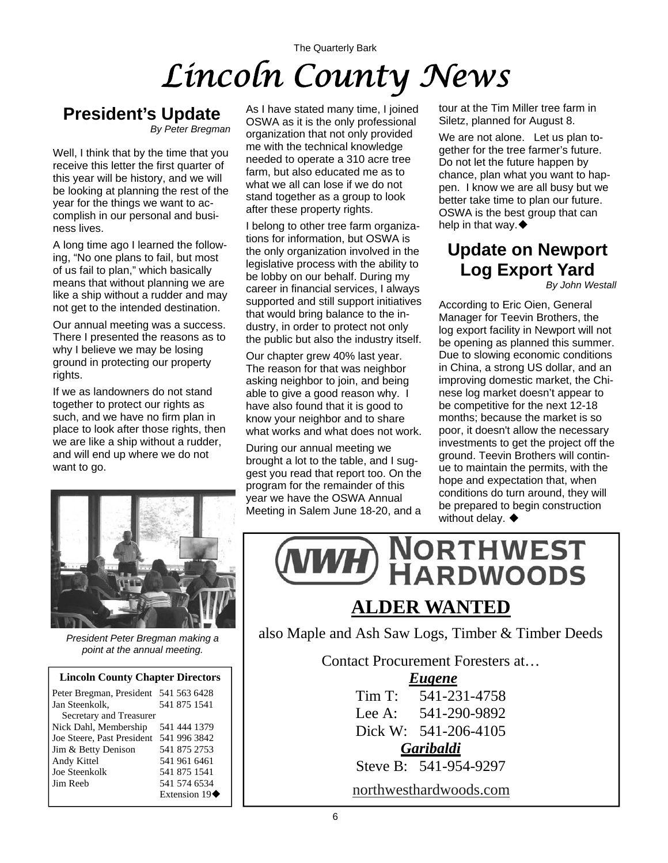## The Quarterly Bark *Lincoln County News*

## **President's Update**

*By Peter Bregman* 

Well, I think that by the time that you receive this letter the first quarter of this year will be history, and we will be looking at planning the rest of the year for the things we want to accomplish in our personal and business lives.

A long time ago I learned the following, "No one plans to fail, but most of us fail to plan," which basically means that without planning we are like a ship without a rudder and may not get to the intended destination.

Our annual meeting was a success. There I presented the reasons as to why I believe we may be losing ground in protecting our property rights.

If we as landowners do not stand together to protect our rights as such, and we have no firm plan in place to look after those rights, then we are like a ship without a rudder, and will end up where we do not want to go.



*President Peter Bregman making a point at the annual meeting.* 

| <b>Lincoln County Chapter Directors</b> |                             |  |  |
|-----------------------------------------|-----------------------------|--|--|
| Peter Bregman, President 541 563 6428   |                             |  |  |
| Jan Steenkolk,                          | 541 875 1541                |  |  |
| Secretary and Treasurer                 |                             |  |  |
| Nick Dahl, Membership                   | 541 444 1379                |  |  |
| Joe Steere, Past President 541 996 3842 |                             |  |  |
| Jim & Betty Denison                     | 541 875 2753                |  |  |
| Andy Kittel                             | 541 961 6461                |  |  |
| Joe Steenkolk                           | 541 875 1541                |  |  |
| Jim Reeb                                | 541 574 6534                |  |  |
|                                         | Extension $19\blacklozenge$ |  |  |

As I have stated many time, I joined OSWA as it is the only professional organization that not only provided me with the technical knowledge needed to operate a 310 acre tree farm, but also educated me as to what we all can lose if we do not stand together as a group to look after these property rights.

I belong to other tree farm organizations for information, but OSWA is the only organization involved in the legislative process with the ability to be lobby on our behalf. During my career in financial services, I always supported and still support initiatives that would bring balance to the industry, in order to protect not only the public but also the industry itself.

Our chapter grew 40% last year. The reason for that was neighbor asking neighbor to join, and being able to give a good reason why. I have also found that it is good to know your neighbor and to share what works and what does not work.

During our annual meeting we brought a lot to the table, and I suggest you read that report too. On the program for the remainder of this year we have the OSWA Annual Meeting in Salem June 18-20, and a

tour at the Tim Miller tree farm in Siletz, planned for August 8.

We are not alone. Let us plan together for the tree farmer's future. Do not let the future happen by chance, plan what you want to happen. I know we are all busy but we better take time to plan our future. OSWA is the best group that can help in that way. $\blacklozenge$ 

### **Update on Newport Log Export Yard**

*By John Westall* 

According to Eric Oien, General Manager for Teevin Brothers, the log export facility in Newport will not be opening as planned this summer. Due to slowing economic conditions in China, a strong US dollar, and an improving domestic market, the Chinese log market doesn't appear to be competitive for the next 12-18 months; because the market is so poor, it doesn't allow the necessary investments to get the project off the ground. Teevin Brothers will continue to maintain the permits, with the hope and expectation that, when conditions do turn around, they will be prepared to begin construction without delay.  $\blacklozenge$ 



### **ALDER WANTED**

also Maple and Ash Saw Logs, Timber & Timber Deeds

Contact Procurement Foresters at…

*Eugene* Tim T: 541-231-4758 Lee A: 541-290-9892 Dick W: 541-206-4105 *Garibaldi* Steve B: 541-954-9297

[northwesthardwoods.com](http://northwesthardwoods.com/)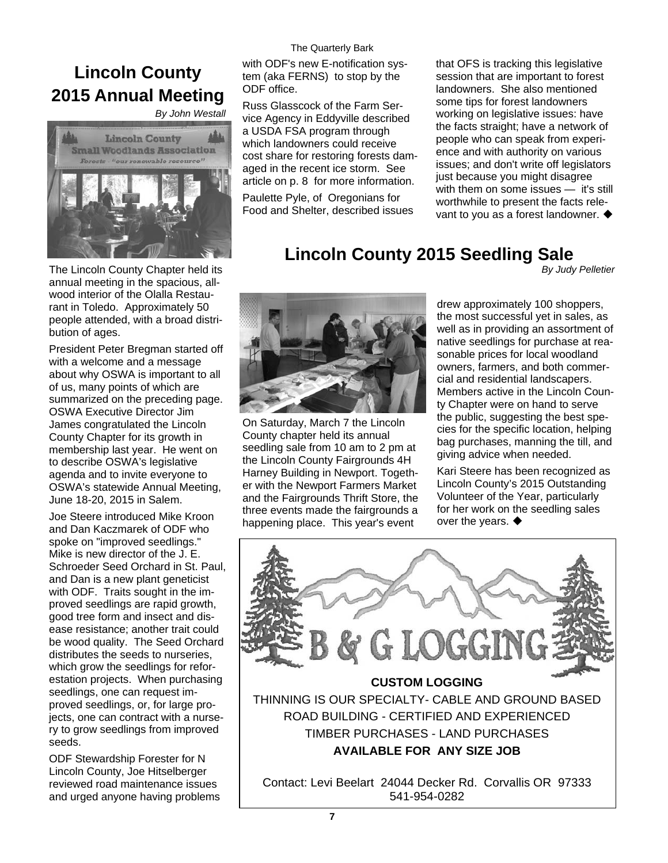### **Lincoln County 2015 Annual Meeting**

*By John Westall* 



The Lincoln County Chapter held its annual meeting in the spacious, allwood interior of the Olalla Restaurant in Toledo. Approximately 50 people attended, with a broad distribution of ages.

President Peter Bregman started off with a welcome and a message about why OSWA is important to all of us, many points of which are summarized on the preceding page. OSWA Executive Director Jim James congratulated the Lincoln County Chapter for its growth in membership last year. He went on to describe OSWA's legislative agenda and to invite everyone to OSWA's statewide Annual Meeting, June 18-20, 2015 in Salem.

Joe Steere introduced Mike Kroon and Dan Kaczmarek of ODF who spoke on "improved seedlings." Mike is new director of the J. E. Schroeder Seed Orchard in St. Paul, and Dan is a new plant geneticist with ODF. Traits sought in the improved seedlings are rapid growth, good tree form and insect and disease resistance; another trait could be wood quality. The Seed Orchard distributes the seeds to nurseries, which grow the seedlings for reforestation projects. When purchasing seedlings, one can request improved seedlings, or, for large projects, one can contract with a nursery to grow seedlings from improved seeds.

ODF Stewardship Forester for N Lincoln County, Joe Hitselberger reviewed road maintenance issues and urged anyone having problems The Quarterly Bark

with ODF's new E-notification system (aka FERNS) to stop by the ODF office.

Russ Glasscock of the Farm Service Agency in Eddyville described a USDA FSA program through which landowners could receive cost share for restoring forests damaged in the recent ice storm. See article on p. 8 for more information.

Paulette Pyle, of Oregonians for Food and Shelter, described issues that OFS is tracking this legislative session that are important to forest landowners. She also mentioned some tips for forest landowners working on legislative issues: have the facts straight; have a network of people who can speak from experience and with authority on various issues; and don't write off legislators just because you might disagree with them on some issues - it's still worthwhile to present the facts relevant to you as a forest landowner.  $\blacklozenge$ 

### **Lincoln County 2015 Seedling Sale**

*By Judy Pelletier* 



On Saturday, March 7 the Lincoln County chapter held its annual seedling sale from 10 am to 2 pm at the Lincoln County Fairgrounds 4H Harney Building in Newport. Together with the Newport Farmers Market and the Fairgrounds Thrift Store, the three events made the fairgrounds a happening place. This year's event

drew approximately 100 shoppers, the most successful yet in sales, as well as in providing an assortment of native seedlings for purchase at reasonable prices for local woodland owners, farmers, and both commercial and residential landscapers. Members active in the Lincoln County Chapter were on hand to serve the public, suggesting the best species for the specific location, helping bag purchases, manning the till, and giving advice when needed.

Kari Steere has been recognized as Lincoln County's 2015 Outstanding Volunteer of the Year, particularly for her work on the seedling sales over the years.



Contact: Levi Beelart 24044 Decker Rd. Corvallis OR 97333 541-954-0282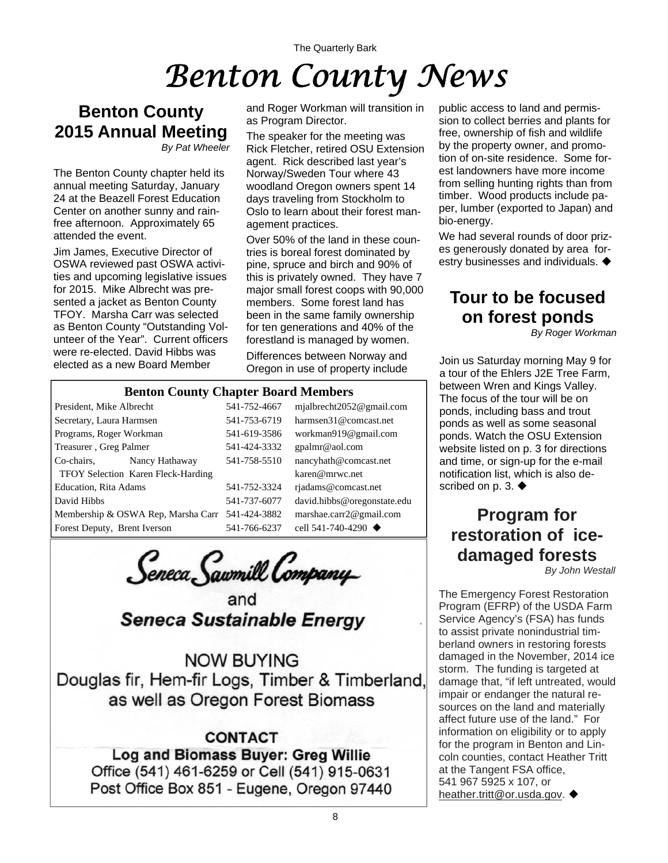#### The Quarterly Bark

# *Benton County News*

#### **Benton County 2015 Annual Meeting**  *By Pat Wheeler*

The Benton County chapter held its annual meeting Saturday, January 24 at the Beazell Forest Education Center on another sunny and rainfree afternoon. Approximately 65 attended the event.

Jim James, Executive Director of OSWA reviewed past OSWA activities and upcoming legislative issues for 2015. Mike Albrecht was presented a jacket as Benton County TFOY. Marsha Carr was selected as Benton County "Outstanding Volunteer of the Year". Current officers were re-elected. David Hibbs was elected as a new Board Member

and Roger Workman will transition in as Program Director.

The speaker for the meeting was Rick Fletcher, retired OSU Extension agent. Rick described last year's Norway/Sweden Tour where 43 woodland Oregon owners spent 14 days traveling from Stockholm to Oslo to learn about their forest management practices.

Over 50% of the land in these countries is boreal forest dominated by pine, spruce and birch and 90% of this is privately owned. They have 7 major small forest coops with 90,000 members. Some forest land has been in the same family ownership for ten generations and 40% of the forestland is managed by women.

Differences between Norway and Oregon in use of property include

#### **Benton County Chapter Board Members**

|                                    | 541-752-4667 | mjalbrecht2052@gmail.com                                                                                        |
|------------------------------------|--------------|-----------------------------------------------------------------------------------------------------------------|
| Secretary, Laura Harmsen           |              | harmsen31@comcast.net                                                                                           |
| Programs, Roger Workman            |              | workman919@gmail.com                                                                                            |
|                                    | 541-424-3332 | gpalmr@aol.com                                                                                                  |
| Nancy Hathaway                     | 541-758-5510 | nancyhath@comcast.net                                                                                           |
| TFOY Selection Karen Fleck-Harding |              | karen@mrwc.net                                                                                                  |
|                                    | 541-752-3324 | riadams@comcast.net                                                                                             |
| David Hibbs                        |              | david.hibbs@oregonstate.edu                                                                                     |
|                                    |              | marshae.carr2@gmail.com                                                                                         |
| Forest Deputy, Brent Iverson       |              | cell 541-740-4290 $\triangleleft$                                                                               |
|                                    |              | 541-753-6719<br>541-619-3586<br>541-737-6077<br>Membership & OSWA Rep, Marsha Carr 541-424-3882<br>541-766-6237 |

Seneca Sawmill Company

Seneca Sustainable Energy

**NOW BUYING** Douglas fir, Hem-fir Logs, Timber & Timberland, as well as Oregon Forest Biomass

**CONTACT** Log and Biomass Buyer: Greg Willie Office (541) 461-6259 or Cell (541) 915-0631 Post Office Box 851 - Eugene, Oregon 97440 public access to land and permission to collect berries and plants for free, ownership of fish and wildlife by the property owner, and promotion of on-site residence. Some forest landowners have more income from selling hunting rights than from timber. Wood products include paper, lumber (exported to Japan) and bio-energy.

We had several rounds of door prizes generously donated by area forestry businesses and individuals.

### **Tour to be focused on forest ponds**

*By Roger Workman* 

Join us Saturday morning May 9 for a tour of the Ehlers J2E Tree Farm, between Wren and Kings Valley. The focus of the tour will be on ponds, including bass and trout ponds as well as some seasonal ponds. Watch the OSU Extension website listed on p. 3 for directions and time, or sign-up for the e-mail notification list, which is also described on p. 3.  $\blacklozenge$ 

### **Program for restoration of icedamaged forests**

*By John Westall*

The Emergency Forest Restoration Program (EFRP) of the USDA Farm Service Agency's (FSA) has funds to assist private nonindustrial timberland owners in restoring forests damaged in the November, 2014 ice storm. The funding is targeted at damage that, "if left untreated, would impair or endanger the natural resources on the land and materially affect future use of the land." For information on eligibility or to apply for the program in Benton and Lincoln counties, contact Heather Tritt at the Tangent FSA office, 541 967 5925 x 107, or [heather.tritt@or.usda.gov](mailto:heather.tritt@or.usda.gov). ♦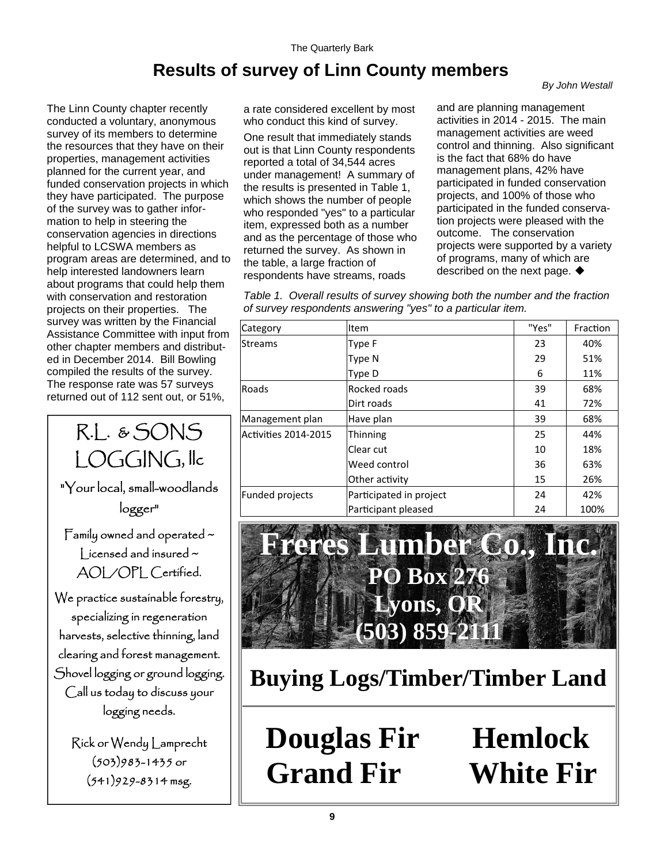### **Results of survey of Linn County members**

*By John Westall* 

The Linn County chapter recently conducted a voluntary, anonymous survey of its members to determine the resources that they have on their properties, management activities planned for the current year, and funded conservation projects in which they have participated. The purpose of the survey was to gather information to help in steering the conservation agencies in directions helpful to LCSWA members as program areas are determined, and to help interested landowners learn about programs that could help them with conservation and restoration projects on their properties. The survey was written by the Financial Assistance Committee with input from other chapter members and distributed in December 2014. Bill Bowling compiled the results of the survey. The response rate was 57 surveys returned out of 112 sent out, or 51%,

R.L. & SONS LOGGING, llc "Your local, small-woodlands logger" Family owned and operated ~ Licensed and insured ~ AOL/OPL Certified. We practice sustainable forestry, specializing in regeneration harvests, selective thinning, land clearing and forest management. Shovel logging or ground logging. Call us today to discuss your logging needs.

Rick or Wendy Lamprecht (503)983-1435 or  $(541)929 - 8314$  msg.

a rate considered excellent by most who conduct this kind of survey.

One result that immediately stands out is that Linn County respondents reported a total of 34,544 acres under management! A summary of the results is presented in Table 1, which shows the number of people who responded "yes" to a particular item, expressed both as a number and as the percentage of those who returned the survey. As shown in the table, a large fraction of respondents have streams, roads

and are planning management activities in 2014 - 2015. The main management activities are weed control and thinning. Also significant is the fact that 68% do have management plans, 42% have participated in funded conservation projects, and 100% of those who participated in the funded conservation projects were pleased with the outcome. The conservation projects were supported by a variety of programs, many of which are described on the next page.  $\blacklozenge$ 

*Table 1. Overall results of survey showing both the number and the fraction of survey respondents answering "yes" to a particular item.* 

| Category                    | <b>Item</b>             | "Yes" | Fraction |
|-----------------------------|-------------------------|-------|----------|
| Streams                     | Type F                  | 23    | 40%      |
|                             | <b>Type N</b>           | 29    | 51%      |
|                             | Type D                  | 6     | 11%      |
| Roads                       | Rocked roads            | 39    | 68%      |
|                             | Dirt roads              | 41    | 72%      |
| Management plan             | Have plan               |       | 68%      |
| <b>Activities 2014-2015</b> | Thinning                | 25    | 44%      |
|                             | Clear cut               | 10    | 18%      |
|                             | Weed control            | 36    | 63%      |
|                             | Other activity          | 15    | 26%      |
| Funded projects             | Participated in project | 24    | 42%      |
|                             | Participant pleased     | 24    | 100%     |



**Buying Logs/Timber/Timber Land**

# **Douglas Fir Hemlock Grand Fir White Fir**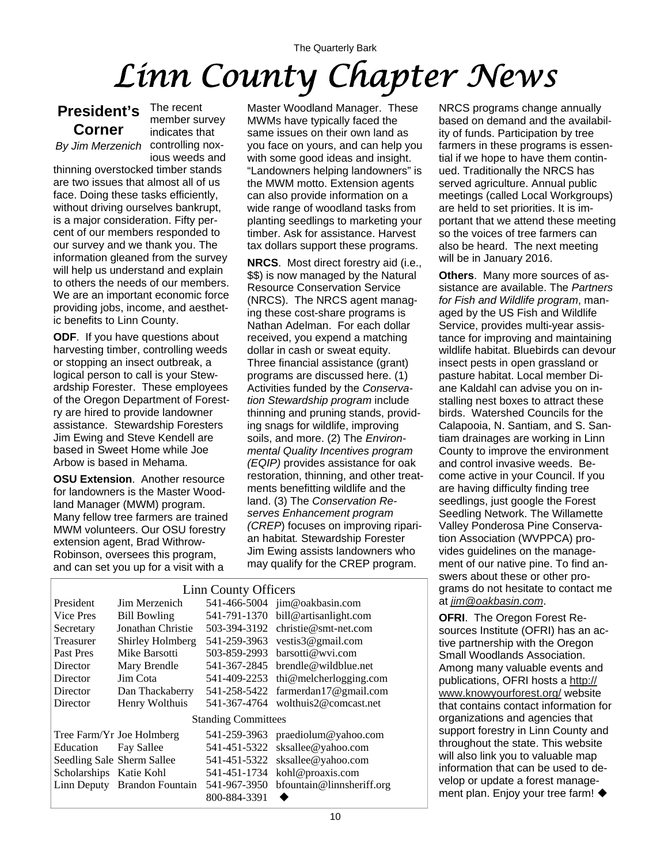## The Quarterly Bark *Linn County Chapter News*

#### **President's Corner**

The recent member survey indicates that controlling noxious weeds and *By Jim Merzenich*

thinning overstocked timber stands are two issues that almost all of us face. Doing these tasks efficiently, without driving ourselves bankrupt, is a major consideration. Fifty percent of our members responded to our survey and we thank you. The information gleaned from the survey will help us understand and explain to others the needs of our members. We are an important economic force providing jobs, income, and aesthetic benefits to Linn County.

**ODF**. If you have questions about harvesting timber, controlling weeds or stopping an insect outbreak, a logical person to call is your Stewardship Forester. These employees of the Oregon Department of Forestry are hired to provide landowner assistance. Stewardship Foresters Jim Ewing and Steve Kendell are based in Sweet Home while Joe Arbow is based in Mehama.

**OSU Extension**. Another resource for landowners is the Master Woodland Manager (MWM) program. Many fellow tree farmers are trained MWM volunteers. Our OSU forestry extension agent, Brad Withrow-Robinson, oversees this program, and can set you up for a visit with a

Master Woodland Manager. These MWMs have typically faced the same issues on their own land as you face on yours, and can help you with some good ideas and insight. "Landowners helping landowners" is the MWM motto. Extension agents can also provide information on a wide range of woodland tasks from planting seedlings to marketing your timber. Ask for assistance. Harvest tax dollars support these programs.

**NRCS**. Most direct forestry aid (i.e., \$\$) is now managed by the Natural Resource Conservation Service (NRCS). The NRCS agent managing these cost-share programs is Nathan Adelman. For each dollar received, you expend a matching dollar in cash or sweat equity. Three financial assistance (grant) programs are discussed here. (1) Activities funded by the *Conservation Stewardship program* include thinning and pruning stands, providing snags for wildlife, improving soils, and more. (2) The *Environmental Quality Incentives program (EQIP)* provides assistance for oak restoration, thinning, and other treatments benefitting wildlife and the land. (3) The *Conservation Reserves Enhancement program (CREP*) focuses on improving riparian habitat*.* Stewardship Forester Jim Ewing assists landowners who may qualify for the CREP program.

| Linn County Officers       |                            |              |                           |  |
|----------------------------|----------------------------|--------------|---------------------------|--|
| President                  | Jim Merzenich              | 541-466-5004 | jim@oakbasin.com          |  |
| Vice Pres                  | <b>Bill Bowling</b>        | 541-791-1370 | bill@artisanlight.com     |  |
| Secretary                  | Jonathan Christie          | 503-394-3192 | $christie@smt-net.com$    |  |
| <b>Treasurer</b>           | Shirley Holmberg           | 541-259-3963 | vestis3@gmail.com         |  |
| Past Pres                  | Mike Barsotti              | 503-859-2993 | barsotti@wvi.com          |  |
| Director                   | Mary Brendle               | 541-367-2845 | $b$ rendle@wildblue.net   |  |
| Director                   | Jim Cota                   | 541-409-2253 | thi@melcherlogging.com    |  |
| Director                   | Dan Thackaberry            | 541-258-5422 | farmerdan17@gmail.com     |  |
| Director                   | Henry Wolthuis             | 541-367-4764 | wolthuis2@comcast.net     |  |
| <b>Standing Committees</b> |                            |              |                           |  |
|                            | Tree Farm/Yr Joe Holmberg  | 541-259-3963 | praediolum@yahoo.com      |  |
| Education                  | Fay Sallee                 | 541-451-5322 | sksallee@yahoo.com        |  |
|                            | Seedling Sale Sherm Sallee | 541-451-5322 | sksallee@yahoo.com        |  |
| Scholarships Katie Kohl    |                            | 541-451-1734 | kohl@proaxis.com          |  |
| Linn Deputy                | <b>Brandon Fountain</b>    | 541-967-3950 | bfountain@linnsheriff.org |  |
|                            |                            | 800-884-3391 |                           |  |

#### Linn County Officers

NRCS programs change annually based on demand and the availability of funds. Participation by tree farmers in these programs is essential if we hope to have them continued. Traditionally the NRCS has served agriculture. Annual public meetings (called Local Workgroups) are held to set priorities. It is important that we attend these meeting so the voices of tree farmers can also be heard. The next meeting will be in January 2016.

**Others**. Many more sources of assistance are available. The *Partners for Fish and Wildlife program*, managed by the US Fish and Wildlife Service, provides multi-year assistance for improving and maintaining wildlife habitat. Bluebirds can devour insect pests in open grassland or pasture habitat. Local member Diane Kaldahl can advise you on installing nest boxes to attract these birds. Watershed Councils for the Calapooia, N. Santiam, and S. Santiam drainages are working in Linn County to improve the environment and control invasive weeds. Become active in your Council. If you are having difficulty finding tree seedlings, just google the Forest Seedling Network. The Willamette Valley Ponderosa Pine Conservation Association (WVPPCA) provides guidelines on the management of our native pine. To find answers about these or other programs do not hesitate to contact me at *[jim@oakbasin.com](mailto:jim@oakbasin.com)*.

**OFRI**. The Oregon Forest Resources Institute (OFRI) has an active partnership with the Oregon Small Woodlands Association. Among many valuable events and publications, OFRI hosts a [http://](http://www.knowyourforest.org/) [www.knowyourforest.org/](http://www.knowyourforest.org/) website that contains contact information for organizations and agencies that support forestry in Linn County and throughout the state. This website will also link you to valuable map information that can be used to develop or update a forest management plan. Enjoy your tree farm! ♦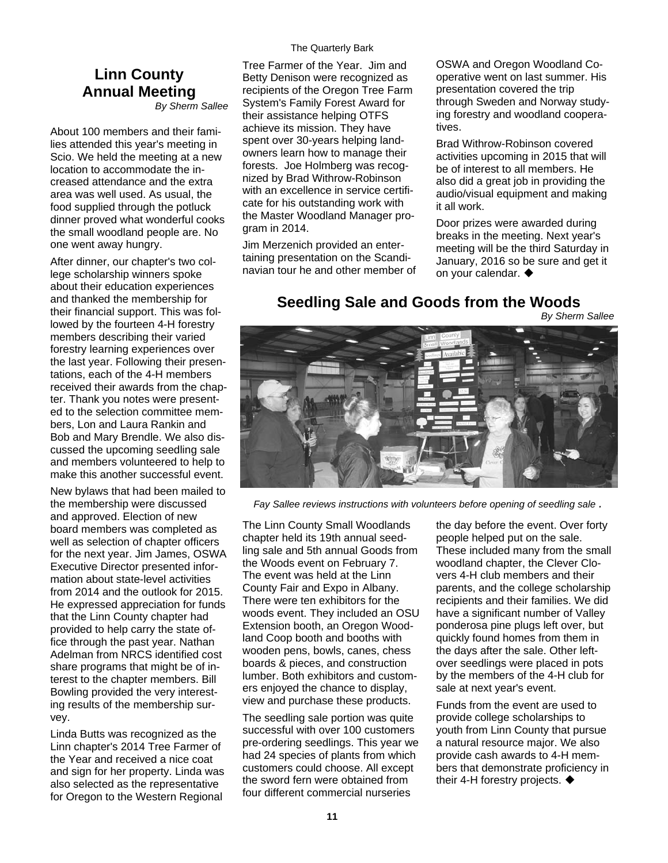#### The Quarterly Bark

### **Linn County Annual Meeting**

*By Sherm Sallee* 

About 100 members and their families attended this year's meeting in Scio. We held the meeting at a new location to accommodate the increased attendance and the extra area was well used. As usual, the food supplied through the potluck dinner proved what wonderful cooks the small woodland people are. No one went away hungry.

After dinner, our chapter's two college scholarship winners spoke about their education experiences and thanked the membership for their financial support. This was followed by the fourteen 4-H forestry members describing their varied forestry learning experiences over the last year. Following their presentations, each of the 4-H members received their awards from the chapter. Thank you notes were presented to the selection committee members, Lon and Laura Rankin and Bob and Mary Brendle. We also discussed the upcoming seedling sale and members volunteered to help to make this another successful event.

New bylaws that had been mailed to the membership were discussed and approved. Election of new board members was completed as well as selection of chapter officers for the next year. Jim James, OSWA Executive Director presented information about state-level activities from 2014 and the outlook for 2015. He expressed appreciation for funds that the Linn County chapter had provided to help carry the state office through the past year. Nathan Adelman from NRCS identified cost share programs that might be of interest to the chapter members. Bill Bowling provided the very interesting results of the membership survey.

Linda Butts was recognized as the Linn chapter's 2014 Tree Farmer of the Year and received a nice coat and sign for her property. Linda was also selected as the representative for Oregon to the Western Regional

Tree Farmer of the Year. Jim and Betty Denison were recognized as recipients of the Oregon Tree Farm System's Family Forest Award for their assistance helping OTFS achieve its mission. They have spent over 30-years helping landowners learn how to manage their forests. Joe Holmberg was recognized by Brad Withrow-Robinson with an excellence in service certificate for his outstanding work with the Master Woodland Manager program in 2014.

Jim Merzenich provided an entertaining presentation on the Scandinavian tour he and other member of OSWA and Oregon Woodland Cooperative went on last summer. His presentation covered the trip through Sweden and Norway studying forestry and woodland cooperatives.

Brad Withrow-Robinson covered activities upcoming in 2015 that will be of interest to all members. He also did a great job in providing the audio/visual equipment and making it all work.

Door prizes were awarded during breaks in the meeting. Next year's meeting will be the third Saturday in January, 2016 so be sure and get it on your calendar. ♦

### **Seedling Sale and Goods from the Woods**

*By Sherm Sallee* 



*Fay Sallee reviews instructions with volunteers before opening of seedling sale .* 

The Linn County Small Woodlands chapter held its 19th annual seedling sale and 5th annual Goods from the Woods event on February 7. The event was held at the Linn County Fair and Expo in Albany. There were ten exhibitors for the woods event. They included an OSU Extension booth, an Oregon Woodland Coop booth and booths with wooden pens, bowls, canes, chess boards & pieces, and construction lumber. Both exhibitors and customers enjoyed the chance to display, view and purchase these products.

The seedling sale portion was quite successful with over 100 customers pre-ordering seedlings. This year we had 24 species of plants from which customers could choose. All except the sword fern were obtained from four different commercial nurseries

the day before the event. Over forty people helped put on the sale. These included many from the small woodland chapter, the Clever Clovers 4-H club members and their parents, and the college scholarship recipients and their families. We did have a significant number of Valley ponderosa pine plugs left over, but quickly found homes from them in the days after the sale. Other leftover seedlings were placed in pots by the members of the 4-H club for sale at next year's event.

Funds from the event are used to provide college scholarships to youth from Linn County that pursue a natural resource major. We also provide cash awards to 4-H members that demonstrate proficiency in their 4-H forestry projects. ♦